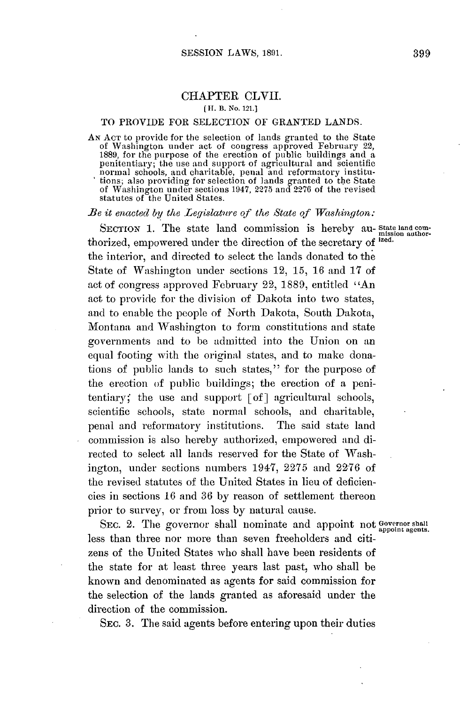## CHAPTER CLVII.

## **( 11.** B. No. 121.]

## TO PROVIDE FOR **SELECTION** OF **GRANTED LANDS.**

**AN ACT** to provide for the selection of lands granted to the State of Washington under act of congress approved February 22, 1889, for the purpose of the erection of public buildings and a penitentiary; the use and support of agricultural and scientific normal schools, and charitable, pen of Washington under sections **1947, 2275** and **2276** of the revised statutes of the United States.

**Be** *it enacted by the Legislature of the State of Washington:*

SECTION 1. The state land commission is hereby au-State land comthorized, empowered under the direction of the secretary **of ized.** the interior, and directed to select the lands donated to the State of Washington under sections 12, **15, 16** and **17** of act of congress approved February 22, **1889,** entitled "An act to provide for the division of Dakota into two states, and to enable the people of North Dakota, South Dakota, Montana and Washington to form constitutions and state governments and to be admitted into the Union on an equal footing with the original states, and to make donations of public lands to such states," for the purpose of the erection of public buildings; the erection of a penitentiary; the use and support [of] agricultural schools, scientific schools, state normal schools, and charitable, penal and reformatory institutions. The said state land commission is also hereby authorized, empowered and directed to select all lands reserved for the State of Washington, under sections numbers 1947, **2275** and **2276** of the revised statutes of the United States in lieu of deficiencies in sections **16** and **36 by** reason of settlement thereon prior to survey, or from loss **by** natural cause.

SEC. 2. The governor shall nominate and appoint not **Governor** shall less than three nor more than seven freeholders and citizens of the United States who shall have been residents of the state for at least three years last past, who shall be known and denominated as agents for said commission for the selection of the lands granted as aforesaid under the direction of the commission.

SEc. **3.** The said agents before entering upon their duties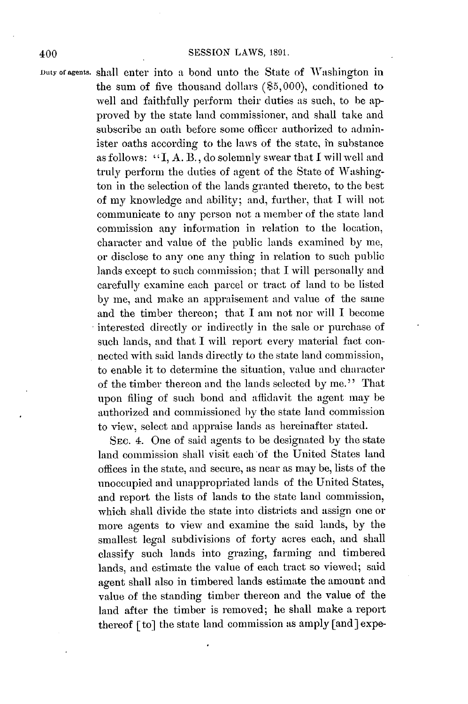**Duty of agents.** shall enter into a bond unto the State of Washington in the sum of five thousand dollars **(85,000),** conditioned to well and faithfully perform their duties as such, to **be** approved **by** the state land commissioner, and shall take and subscribe an oath before some officer authorized to administer oaths according to the laws of the state, in substance as follows: **"I, A.** B., do solemnly swear that **I** will well and truly perform the duties of agent of the State of Washington in the selection of the lands granted thereto, to the best of my knowledge and ability; and, further, that **I** will not communicate to any person not a member of the state land commission any information in relation to the location, character and value of the public lands examined **by** me, or disclose to any one any thing in relation to such public lands except to such commission; that I will personally and carefully examine each parcel or tract of land to be listed **by** me, and make an appraisement and value of the same and the timber thereon; that **I** am not nor will **I** become interested directly or indirectly in the sale or purchase of such lands, and that **I** will report every material fact connected with said lands directly to the state land commission, to enable it to determine the situation, value and character of the timber thereon and the lands selected **by** me." That upon filing of such bond and affidavit the agent may be authorized and commissioned **by** the state land commission to view, select and appraise lands as hereinafter stated.

> SEC. 4. One of said agents to be designated **by** the state land commission shall visit each of the United States land offices in the state, and secure, as near as may be, lists of the unoccupied and unappropriated lands of the United States, and report the lists of lands to the state land commission, which shall divide the state into districts and assign one or more agents to view and examine the said lands, **by** the smallest legal subdivisions of forty acres each, and shall classify such lands into grazing, farming and timbered lands, and estimate the value of each tract so viewed; said agent shall also in timbered lands estimate the amount and value of the standing timber thereon and the value of the land after the timber is removed; he shall make **a** report thereof [to] the state land commission as amply [and ] expe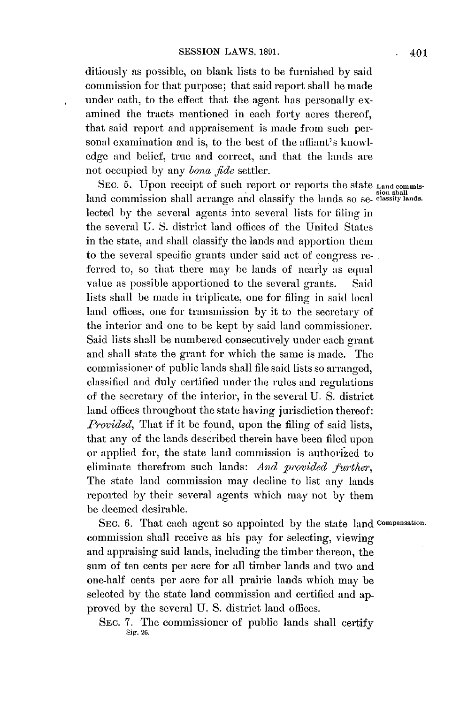ditiously as possible, on blank lists to be furnished **by** said commission for that purpose; that said report shall be made under oath, to the effect that the agent has personally examined the tracts mentioned in each forty acres thereof, that said report and appraisement is made **from** such personal examination and is, to the best of the affiant's knowledge and belief, true and correct, and that the lands are not occupied **by** any *bona fide* settler.

SEC. 5. Upon receipt of such report or reports the state Land commission shall land commission shall arrange and classify the lands so se- **classity lands.** lected **by** the several agents into several lists for filing in the several **U. S.** district land offices of the United States in the state, and shall classify the lands and apportion them to the several specific grants under said act of congress referred to, so **that** there may be lands of nearly as equal value as possible apportioned to the several grants. Said lists shall be made in triplicate, one for filing in said local land offices, one for transmission **by** it to the secretary of the interior and one to **be** kept **by** said land commissioner. Said lists shall be numbered consecutively under each grant and shall state the grant for which the same is made. The commissioner of public lands shall file said lists so arranged, classified and duly certified under the rules and regulations of the secretary of the interior, in the several **U. S.** district land offices throughout the state having jurisdiction thereof: *Provided,* That if it be found, upon the filing of said lists, that any of the lands described therein have been filed **upon** or applied for, the state land commission is authorized to eliminate therefrom such lands: And provided further, The state land commission may decline to list any lands reported **by** their several agents which may not **by** them be deemed desirable.

**SEc. 6.** That each agent so appointed **by** the state land **Compensation.** commission shall receive as his pay for selecting. viewing and appraising said lands, including the timber thereon, the sum of ten cents per acre for all timber lands and two and one-half cents per acre for all prairie lands which may be selected **by** the state land commission and certified and approved **by** the several **U. S.** district land offices.

**SEC. 7.** The commissioner of public lands shall certify **Sig. 26.**